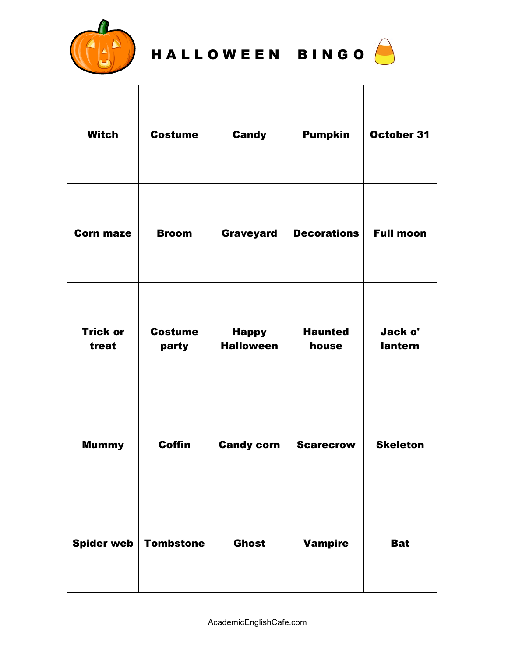

## HALLOWEEN BINGO

| <b>Witch</b>             | <b>Costume</b>          | <b>Candy</b>                     | <b>Pumpkin</b>          | October 31         |
|--------------------------|-------------------------|----------------------------------|-------------------------|--------------------|
| <b>Corn maze</b>         | <b>Broom</b>            | Graveyard                        | <b>Decorations</b>      | <b>Full moon</b>   |
| <b>Trick or</b><br>treat | <b>Costume</b><br>party | <b>Happy</b><br><b>Halloween</b> | <b>Haunted</b><br>house | Jack o'<br>lantern |
| <b>Mummy</b>             | <b>Coffin</b>           | <b>Candy corn</b>                | <b>Scarecrow</b>        | <b>Skeleton</b>    |
| <b>Spider web</b>        | <b>Tombstone</b>        | <b>Ghost</b>                     | <b>Vampire</b>          | <b>Bat</b>         |